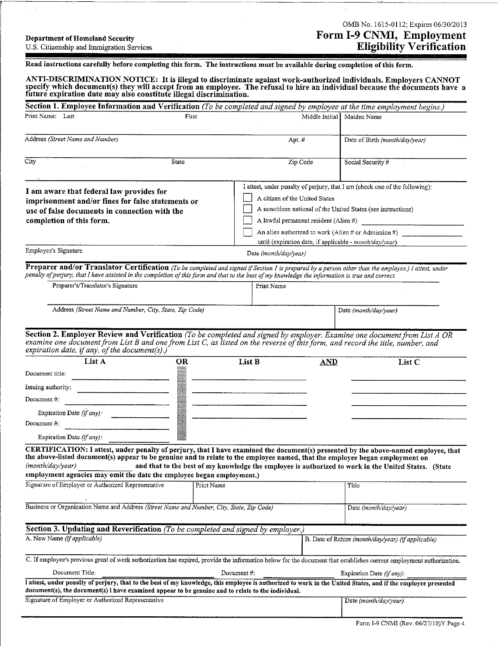## OMB No. 1615-0112; Expires 06/30/2013 Department of Homeland Security **Form 1-9 CNMI, Employment Eligibility Verification**

Read instructions carefully before completing this form. The instructions must be available during completion of this form.

ANTI-DISCRIMINATION NOTICE: It is illegal to discriminate against work-authorized individuals. Employers CANNOT specify which document(s) they will accept from an employee. The refusal to hire an individual because the documents have a future expiration date may also constitute illegal discrimination.

| Section 1. Employee Information and Verification (To be completed and signed by employee at the time employment begins.)                                                                                                                                                                                                                                                                                                                                                                                                    |       |                       |                                                                                                                                                                                                                                                                                                                                            |                                                    |  |  |  |
|-----------------------------------------------------------------------------------------------------------------------------------------------------------------------------------------------------------------------------------------------------------------------------------------------------------------------------------------------------------------------------------------------------------------------------------------------------------------------------------------------------------------------------|-------|-----------------------|--------------------------------------------------------------------------------------------------------------------------------------------------------------------------------------------------------------------------------------------------------------------------------------------------------------------------------------------|----------------------------------------------------|--|--|--|
| Print Name: Last                                                                                                                                                                                                                                                                                                                                                                                                                                                                                                            | First |                       |                                                                                                                                                                                                                                                                                                                                            | Middle Initial   Maiden Name                       |  |  |  |
| Address (Street Name and Number)                                                                                                                                                                                                                                                                                                                                                                                                                                                                                            |       |                       | Apt. #                                                                                                                                                                                                                                                                                                                                     | Date of Birth (month/day/year)                     |  |  |  |
| City                                                                                                                                                                                                                                                                                                                                                                                                                                                                                                                        | State |                       | Zip Code                                                                                                                                                                                                                                                                                                                                   | Social Security #                                  |  |  |  |
| I am aware that federal law provides for<br>imprisonment and/or fines for false statements or<br>use of false documents in connection with the<br>completion of this form.                                                                                                                                                                                                                                                                                                                                                  |       |                       | I attest, under penalty of perjury, that I am (check one of the following):<br>A citizen of the United States<br>A noncitizen national of the United States (see instructions)<br>A lawful permanent resident (Alien #)<br>An alien authorized to work (Alien # or Admission #)<br>until (expiration date, if applicable - month/day/year) |                                                    |  |  |  |
| Employee's Signature                                                                                                                                                                                                                                                                                                                                                                                                                                                                                                        |       | Date (month/day/year) |                                                                                                                                                                                                                                                                                                                                            |                                                    |  |  |  |
| Preparer and/or Translator Certification (To be completed and signed if Section 1 is prepared by a person other than the employee.) I attest, under<br>penalty of perjury, that I have assisted in the completion of this form and that to the best of my knowledge the information is true and correct.<br>Preparer's/Translator's Signature                                                                                                                                                                               |       | Print Name            |                                                                                                                                                                                                                                                                                                                                            |                                                    |  |  |  |
| Address (Street Name and Number, City, State, Zip Code)<br>Section 2. Employer Review and Verification (To be completed and signed by employer. Examine one document from List A OR                                                                                                                                                                                                                                                                                                                                         |       |                       |                                                                                                                                                                                                                                                                                                                                            | Date (month/day/year)                              |  |  |  |
| examine one document from List B and one from List C, as listed on the reverse of this form, and record the title, number, and<br>expiration date, if any, of the document(s).)                                                                                                                                                                                                                                                                                                                                             |       |                       |                                                                                                                                                                                                                                                                                                                                            |                                                    |  |  |  |
| List A                                                                                                                                                                                                                                                                                                                                                                                                                                                                                                                      | OR.   | List B                | AND                                                                                                                                                                                                                                                                                                                                        | List C                                             |  |  |  |
| Document title;                                                                                                                                                                                                                                                                                                                                                                                                                                                                                                             |       |                       |                                                                                                                                                                                                                                                                                                                                            |                                                    |  |  |  |
| Issuing authority:                                                                                                                                                                                                                                                                                                                                                                                                                                                                                                          |       |                       |                                                                                                                                                                                                                                                                                                                                            |                                                    |  |  |  |
| Document#:                                                                                                                                                                                                                                                                                                                                                                                                                                                                                                                  |       |                       |                                                                                                                                                                                                                                                                                                                                            |                                                    |  |  |  |
| Expiration Date (if any):<br>Document#:                                                                                                                                                                                                                                                                                                                                                                                                                                                                                     |       |                       |                                                                                                                                                                                                                                                                                                                                            |                                                    |  |  |  |
| Expiration Date (if any):                                                                                                                                                                                                                                                                                                                                                                                                                                                                                                   |       |                       |                                                                                                                                                                                                                                                                                                                                            |                                                    |  |  |  |
| CERTIFICATION: I attest, under penalty of perjury, that I have examined the document(s) presented by the above-named employee, that<br>the above-listed document(s) appear to be genuine and to relate to the employee named, that the employee began employment on<br>(month/day/year) and that to the best of my knowledge the employee is authorized to work in the United States. (State<br>employment agencies may omit the date the employee began employment.)<br>Signature of Employer or Authorized Representative |       | Print Name            |                                                                                                                                                                                                                                                                                                                                            | Title                                              |  |  |  |
| Business or Organization Name and Address (Street Name and Number, City, State, Zip Code)                                                                                                                                                                                                                                                                                                                                                                                                                                   |       |                       |                                                                                                                                                                                                                                                                                                                                            | Date (month/day/year)                              |  |  |  |
| Section 3. Updating and Reverification (To be completed and signed by employer.)                                                                                                                                                                                                                                                                                                                                                                                                                                            |       |                       |                                                                                                                                                                                                                                                                                                                                            |                                                    |  |  |  |
| A. New Name (if applicable)                                                                                                                                                                                                                                                                                                                                                                                                                                                                                                 |       |                       |                                                                                                                                                                                                                                                                                                                                            | B. Date of Rehire (month/day/year) (if applicable) |  |  |  |
| C. If employee's previous grant of work authorization has expired, provide the information below for the document that establishes current employment authorization.                                                                                                                                                                                                                                                                                                                                                        |       |                       |                                                                                                                                                                                                                                                                                                                                            |                                                    |  |  |  |
| Document Title:                                                                                                                                                                                                                                                                                                                                                                                                                                                                                                             |       | Document#:            |                                                                                                                                                                                                                                                                                                                                            | Expiration Date (if any):                          |  |  |  |
| I attest, under penalty of perjury, that to the best of my knowledge, this employee is authorized to work in the United States, and if the employee presented<br>document(s), the document(s) I have examined appear to be genuine and to relate to the individual.                                                                                                                                                                                                                                                         |       |                       |                                                                                                                                                                                                                                                                                                                                            |                                                    |  |  |  |
| Signature of Employer or Authorized Representative                                                                                                                                                                                                                                                                                                                                                                                                                                                                          |       |                       |                                                                                                                                                                                                                                                                                                                                            | Date (month/day/year)                              |  |  |  |